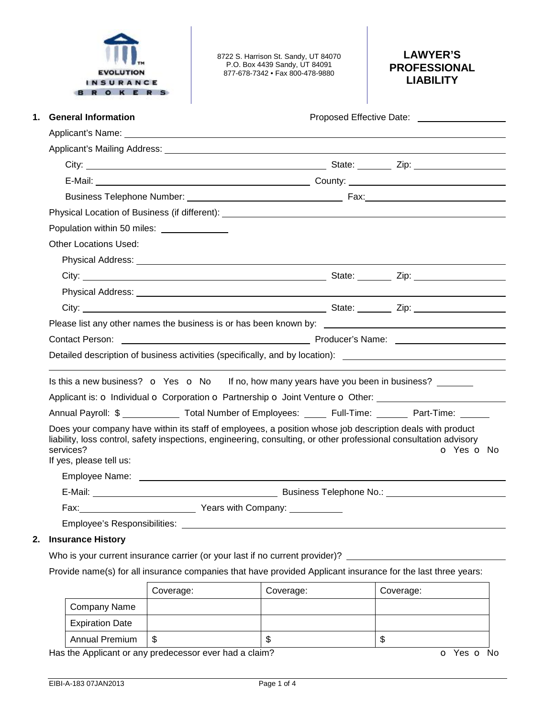

8722 S. Harrison St. Sandy, UT 84070 P.O. Box 4439 Sandy, UT 84091 877-678-7342 • Fax 800-478-9880

# **LAWYER'S PROFESSIONAL LIABILITY**

| <b>General Information</b><br>1.                                                                                                                                                                                                     | Proposed Effective Date: <u>[1988]</u> |            |  |  |  |
|--------------------------------------------------------------------------------------------------------------------------------------------------------------------------------------------------------------------------------------|----------------------------------------|------------|--|--|--|
|                                                                                                                                                                                                                                      |                                        |            |  |  |  |
|                                                                                                                                                                                                                                      |                                        |            |  |  |  |
|                                                                                                                                                                                                                                      |                                        |            |  |  |  |
|                                                                                                                                                                                                                                      |                                        |            |  |  |  |
|                                                                                                                                                                                                                                      |                                        |            |  |  |  |
| Physical Location of Business (if different): ___________________________________                                                                                                                                                    |                                        |            |  |  |  |
| Population within 50 miles: ______________                                                                                                                                                                                           |                                        |            |  |  |  |
| <b>Other Locations Used:</b>                                                                                                                                                                                                         |                                        |            |  |  |  |
| Physical Address: <u>Communications</u> Control and Control Control and Control Control Control Control Control Control Control Control Control Control Control Control Control Control Control Control Control Control Control Con  |                                        |            |  |  |  |
|                                                                                                                                                                                                                                      |                                        |            |  |  |  |
|                                                                                                                                                                                                                                      |                                        |            |  |  |  |
|                                                                                                                                                                                                                                      |                                        |            |  |  |  |
|                                                                                                                                                                                                                                      |                                        |            |  |  |  |
| Contact Person: <u>Contact Person:</u> Contact Person: Contact Person: Contact Person: Contact Person: Contact Person:                                                                                                               |                                        |            |  |  |  |
| Detailed description of business activities (specifically, and by location): <u>the contract of the contract of the contract of the contract of the contract of the contract of the contract of the contract of the contract of </u> |                                        |            |  |  |  |
| Is this a new business? $\bullet$ Yes $\bullet$ No If no, how many years have you been in business?                                                                                                                                  |                                        |            |  |  |  |
| Applicant is: o Individual o Corporation o Partnership o Joint Venture o Other: ____________________                                                                                                                                 |                                        |            |  |  |  |
| Annual Payroll: \$ _____________ Total Number of Employees: _____ Full-Time: ______ Part-Time: ______                                                                                                                                |                                        |            |  |  |  |
|                                                                                                                                                                                                                                      |                                        |            |  |  |  |
| Does your company have within its staff of employees, a position whose job description deals with product<br>liability, loss control, safety inspections, engineering, consulting, or other professional consultation advisory       |                                        |            |  |  |  |
| services?                                                                                                                                                                                                                            |                                        | O Yes O No |  |  |  |
| If yes, please tell us:                                                                                                                                                                                                              |                                        |            |  |  |  |
|                                                                                                                                                                                                                                      |                                        |            |  |  |  |
|                                                                                                                                                                                                                                      |                                        |            |  |  |  |
| Fax: <u>Next Company:</u> Years with Company:                                                                                                                                                                                        |                                        |            |  |  |  |
|                                                                                                                                                                                                                                      |                                        |            |  |  |  |

## **2. Insurance History**

Who is your current insurance carrier (or your last if no current provider)? \_\_\_\_\_\_\_\_

Provide name(s) for all insurance companies that have provided Applicant insurance for the last three years:

|                        | Coverage: | Coverage: | Coverage: |
|------------------------|-----------|-----------|-----------|
| Company Name           |           |           |           |
| <b>Expiration Date</b> |           |           |           |
| <b>Annual Premium</b>  | S         | Œ         | ۰D        |

Has the Applicant or any predecessor ever had a claim? **o** Yes **o** No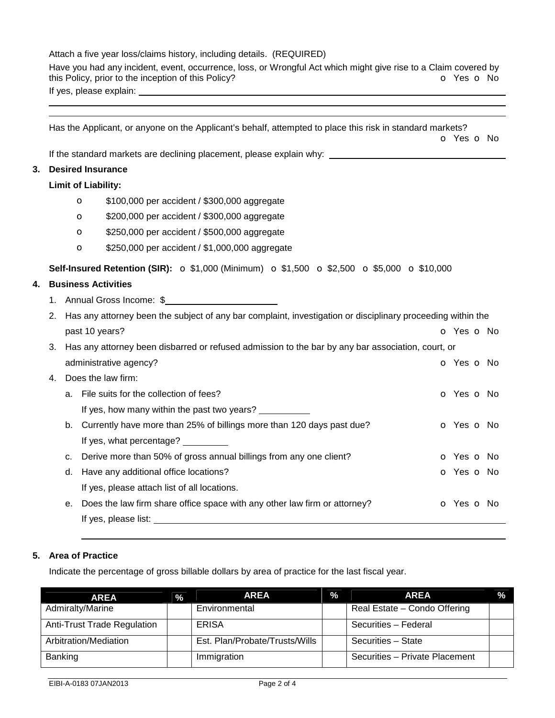### Attach a five year loss/claims history, including details. (REQUIRED)

Have you had any incident, event, occurrence, loss, or Wrongful Act which might give rise to a Claim covered by this Policy, prior to the inception of this Policy? this Policy, prior to the inception of this Policy? If yes, please explain:

|    | Has the Applicant, or anyone on the Applicant's behalf, attempted to place this risk in standard markets?<br><b>o</b> Yes <b>o</b> No |                                                                                                      |                                                                                                                                                                                                                                |            |  |  |
|----|---------------------------------------------------------------------------------------------------------------------------------------|------------------------------------------------------------------------------------------------------|--------------------------------------------------------------------------------------------------------------------------------------------------------------------------------------------------------------------------------|------------|--|--|
|    |                                                                                                                                       |                                                                                                      | If the standard markets are declining placement, please explain why: _______________________________                                                                                                                           |            |  |  |
| 3. |                                                                                                                                       |                                                                                                      | <b>Desired Insurance</b>                                                                                                                                                                                                       |            |  |  |
|    | <b>Limit of Liability:</b>                                                                                                            |                                                                                                      |                                                                                                                                                                                                                                |            |  |  |
|    |                                                                                                                                       |                                                                                                      | \$100,000 per accident / \$300,000 aggregate<br>$\circ$                                                                                                                                                                        |            |  |  |
|    |                                                                                                                                       |                                                                                                      | \$200,000 per accident / \$300,000 aggregate<br>$\circ$                                                                                                                                                                        |            |  |  |
|    |                                                                                                                                       |                                                                                                      | \$250,000 per accident / \$500,000 aggregate<br>$\circ$                                                                                                                                                                        |            |  |  |
|    |                                                                                                                                       |                                                                                                      | \$250,000 per accident / \$1,000,000 aggregate<br>$\circ$                                                                                                                                                                      |            |  |  |
|    | Self-Insured Retention (SIR): ○ \$1,000 (Minimum) ○ \$1,500 ○ \$2,500 ○ \$5,000 ○ \$10,000                                            |                                                                                                      |                                                                                                                                                                                                                                |            |  |  |
| 4. |                                                                                                                                       |                                                                                                      | <b>Business Activities</b>                                                                                                                                                                                                     |            |  |  |
|    |                                                                                                                                       |                                                                                                      | 1. Annual Gross Income: \$                                                                                                                                                                                                     |            |  |  |
|    | Has any attorney been the subject of any bar complaint, investigation or disciplinary proceeding within the<br>2.                     |                                                                                                      |                                                                                                                                                                                                                                |            |  |  |
|    | past 10 years?<br>o Yes o No                                                                                                          |                                                                                                      |                                                                                                                                                                                                                                |            |  |  |
|    |                                                                                                                                       | 3. Has any attorney been disbarred or refused admission to the bar by any bar association, court, or |                                                                                                                                                                                                                                |            |  |  |
|    |                                                                                                                                       |                                                                                                      | administrative agency?                                                                                                                                                                                                         | o Yes o No |  |  |
|    | 4.                                                                                                                                    |                                                                                                      | Does the law firm:                                                                                                                                                                                                             |            |  |  |
|    |                                                                                                                                       |                                                                                                      | a. File suits for the collection of fees?                                                                                                                                                                                      | o Yes o No |  |  |
|    |                                                                                                                                       |                                                                                                      | If yes, how many within the past two years?                                                                                                                                                                                    |            |  |  |
|    |                                                                                                                                       |                                                                                                      | b. Currently have more than 25% of billings more than 120 days past due?                                                                                                                                                       | o Yes o No |  |  |
|    |                                                                                                                                       |                                                                                                      | If yes, what percentage?                                                                                                                                                                                                       |            |  |  |
|    |                                                                                                                                       |                                                                                                      | c. Derive more than 50% of gross annual billings from any one client?                                                                                                                                                          | o Yes o No |  |  |
|    |                                                                                                                                       | d.                                                                                                   | Have any additional office locations?                                                                                                                                                                                          | o Yes o No |  |  |
|    |                                                                                                                                       |                                                                                                      | If yes, please attach list of all locations.                                                                                                                                                                                   |            |  |  |
|    | Does the law firm share office space with any other law firm or attorney?<br>o Yes o No<br>е.                                         |                                                                                                      |                                                                                                                                                                                                                                |            |  |  |
|    |                                                                                                                                       |                                                                                                      | If yes, please list: The same state of the state of the state of the state of the state of the state of the state of the state of the state of the state of the state of the state of the state of the state of the state of t |            |  |  |

### **5. Area of Practice**

 

Indicate the percentage of gross billable dollars by area of practice for the last fiscal year.

| <b>AREA</b>                        | $\frac{0}{2}$ | <b>AREA</b>                    | $\%$ | <b>AREA</b>                    | $\frac{9}{6}$ |
|------------------------------------|---------------|--------------------------------|------|--------------------------------|---------------|
| Admiralty/Marine                   |               | Environmental                  |      | Real Estate - Condo Offering   |               |
| <b>Anti-Trust Trade Regulation</b> |               | <b>ERISA</b>                   |      | Securities - Federal           |               |
| Arbitration/Mediation              |               | Est. Plan/Probate/Trusts/Wills |      | Securities - State             |               |
| Banking                            |               | Immigration                    |      | Securities - Private Placement |               |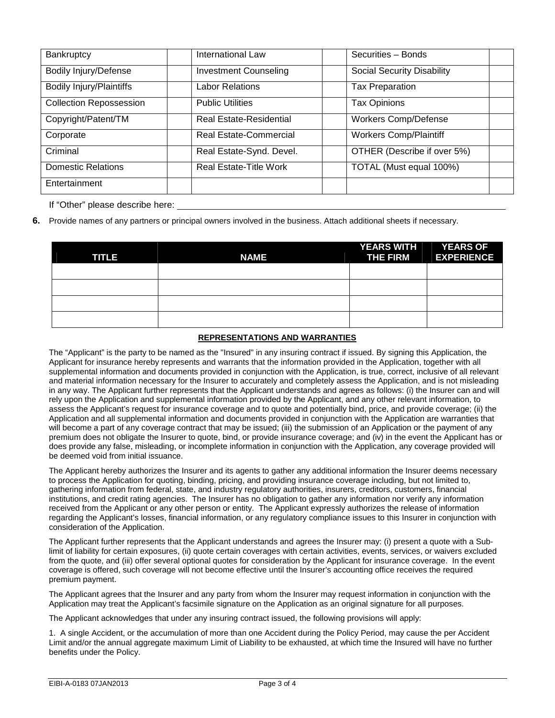| Bankruptcy                      | International Law              | Securities - Bonds                |
|---------------------------------|--------------------------------|-----------------------------------|
| <b>Bodily Injury/Defense</b>    | <b>Investment Counseling</b>   | <b>Social Security Disability</b> |
| <b>Bodily Injury/Plaintiffs</b> | <b>Labor Relations</b>         | <b>Tax Preparation</b>            |
| <b>Collection Repossession</b>  | <b>Public Utilities</b>        | <b>Tax Opinions</b>               |
| Copyright/Patent/TM             | <b>Real Estate-Residential</b> | <b>Workers Comp/Defense</b>       |
| Corporate                       | <b>Real Estate-Commercial</b>  | <b>Workers Comp/Plaintiff</b>     |
| Criminal                        | Real Estate-Synd. Devel.       | OTHER (Describe if over 5%)       |
| <b>Domestic Relations</b>       | <b>Real Estate-Title Work</b>  | TOTAL (Must equal 100%)           |
| Entertainment                   |                                |                                   |

If "Other" please describe here:

**6.** Provide names of any partners or principal owners involved in the business. Attach additional sheets if necessary.

| <b>TITLE</b> | <b>NAME</b> | YEARS WITH YEARS OF<br><b>THE FIRM</b> | <b>EXPERIENCE</b> |
|--------------|-------------|----------------------------------------|-------------------|
|              |             |                                        |                   |
|              |             |                                        |                   |
|              |             |                                        |                   |
|              |             |                                        |                   |

#### **REPRESENTATIONS AND WARRANTIES**

The "Applicant" is the party to be named as the "Insured" in any insuring contract if issued. By signing this Application, the Applicant for insurance hereby represents and warrants that the information provided in the Application, together with all supplemental information and documents provided in conjunction with the Application, is true, correct, inclusive of all relevant and material information necessary for the Insurer to accurately and completely assess the Application, and is not misleading in any way. The Applicant further represents that the Applicant understands and agrees as follows: (i) the Insurer can and will rely upon the Application and supplemental information provided by the Applicant, and any other relevant information, to assess the Applicant's request for insurance coverage and to quote and potentially bind, price, and provide coverage; (ii) the Application and all supplemental information and documents provided in conjunction with the Application are warranties that will become a part of any coverage contract that may be issued; (iii) the submission of an Application or the payment of any premium does not obligate the Insurer to quote, bind, or provide insurance coverage; and (iv) in the event the Applicant has or does provide any false, misleading, or incomplete information in conjunction with the Application, any coverage provided will be deemed void from initial issuance.

The Applicant hereby authorizes the Insurer and its agents to gather any additional information the Insurer deems necessary to process the Application for quoting, binding, pricing, and providing insurance coverage including, but not limited to, gathering information from federal, state, and industry regulatory authorities, insurers, creditors, customers, financial institutions, and credit rating agencies. The Insurer has no obligation to gather any information nor verify any information received from the Applicant or any other person or entity. The Applicant expressly authorizes the release of information regarding the Applicant's losses, financial information, or any regulatory compliance issues to this Insurer in conjunction with consideration of the Application.

The Applicant further represents that the Applicant understands and agrees the Insurer may: (i) present a quote with a Sublimit of liability for certain exposures, (ii) quote certain coverages with certain activities, events, services, or waivers excluded from the quote, and (iii) offer several optional quotes for consideration by the Applicant for insurance coverage. In the event coverage is offered, such coverage will not become effective until the Insurer's accounting office receives the required premium payment.

The Applicant agrees that the Insurer and any party from whom the Insurer may request information in conjunction with the Application may treat the Applicant's facsimile signature on the Application as an original signature for all purposes.

The Applicant acknowledges that under any insuring contract issued, the following provisions will apply:

1. A single Accident, or the accumulation of more than one Accident during the Policy Period, may cause the per Accident Limit and/or the annual aggregate maximum Limit of Liability to be exhausted, at which time the Insured will have no further benefits under the Policy.